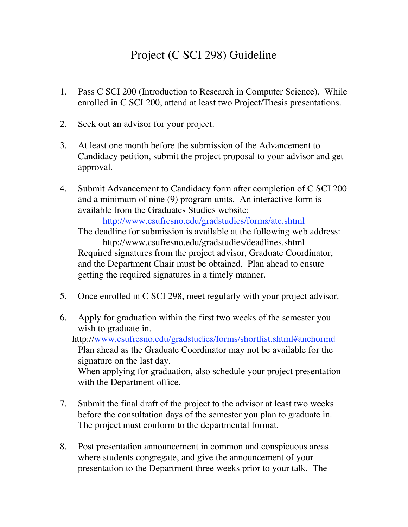## Project (C SCI 298) Guideline

- 1. Pass C SCI 200 (Introduction to Research in Computer Science). While enrolled in C SCI 200, attend at least two Project/Thesis presentations.
- 2. Seek out an advisor for your project.
- 3. At least one month before the submission of the Advancement to Candidacy petition, submit the project proposal to your advisor and get approval.
- 4. Submit Advancement to Candidacy form after completion of C SCI 200 and a minimum of nine (9) program units. An interactive form is available from the Graduates Studies website:

http://www.csufresno.edu/gradstudies/forms/atc.shtml

The deadline for submission is available at the following web address: http://www.csufresno.edu/gradstudies/deadlines.shtml Required signatures from the project advisor, Graduate Coordinator, and the Department Chair must be obtained. Plan ahead to ensure getting the required signatures in a timely manner.

- 5. Once enrolled in C SCI 298, meet regularly with your project advisor.
- 6. Apply for graduation within the first two weeks of the semester you wish to graduate in.

http://www.csufresno.edu/gradstudies/forms/shortlist.shtml#anchormd Plan ahead as the Graduate Coordinator may not be available for the signature on the last day.

When applying for graduation, also schedule your project presentation with the Department office.

- 7. Submit the final draft of the project to the advisor at least two weeks before the consultation days of the semester you plan to graduate in. The project must conform to the departmental format.
- 8. Post presentation announcement in common and conspicuous areas where students congregate, and give the announcement of your presentation to the Department three weeks prior to your talk. The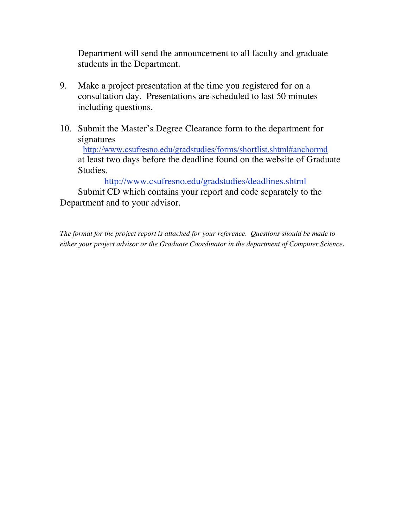Department will send the announcement to all faculty and graduate students in the Department.

- 9. Make a project presentation at the time you registered for on a consultation day. Presentations are scheduled to last 50 minutes including questions.
- 10. Submit the Master's Degree Clearance form to the department for signatures

http://www.csufresno.edu/gradstudies/forms/shortlist.shtml#anchormd at least two days before the deadline found on the website of Graduate Studies.

http://www.csufresno.edu/gradstudies/deadlines.shtml

Submit CD which contains your report and code separately to the Department and to your advisor.

*The format for the project report is attached for your reference. Questions should be made to either your project advisor or the Graduate Coordinator in the department of Computer Science.*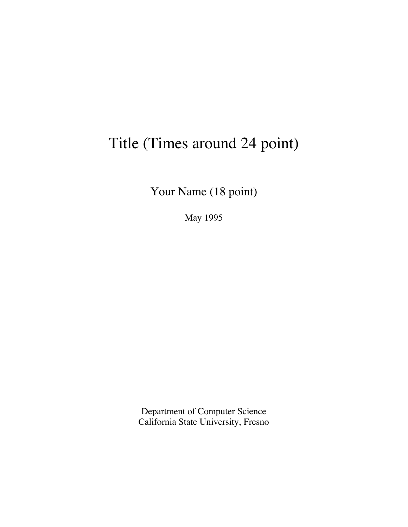## Title (Times around 24 point)

Your Name (18 point)

May 1995

Department of Computer Science California State University, Fresno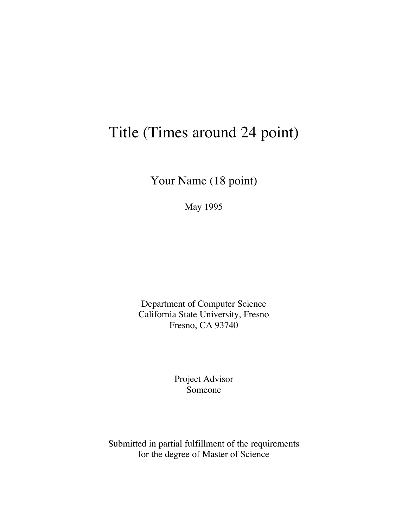## Title (Times around 24 point)

Your Name (18 point)

May 1995

Department of Computer Science California State University, Fresno Fresno, CA 93740

> Project Advisor Someone

Submitted in partial fulfillment of the requirements for the degree of Master of Science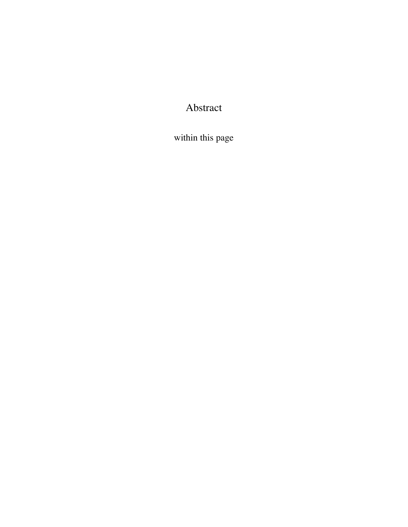Abstract

within this page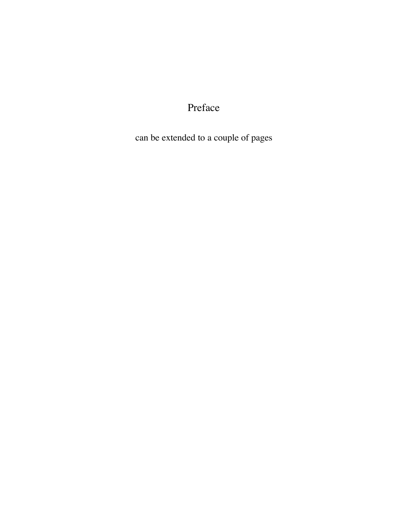Preface

can be extended to a couple of pages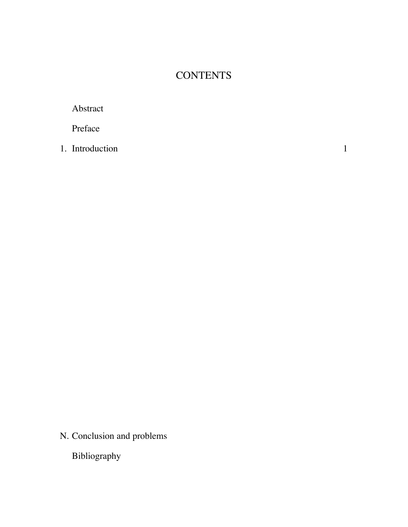## **CONTENTS**

Abstract

Preface

1. Introduction 1

N. Conclusion and problems

Bibliography